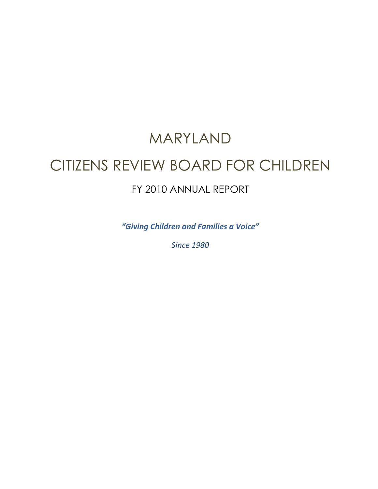# MARYLAND CITIZENS REVIEW BOARD FOR CHILDREN FY 2010 ANNUAL REPORT

*"Giving Children and Families a Voice"* 

*Since 1980*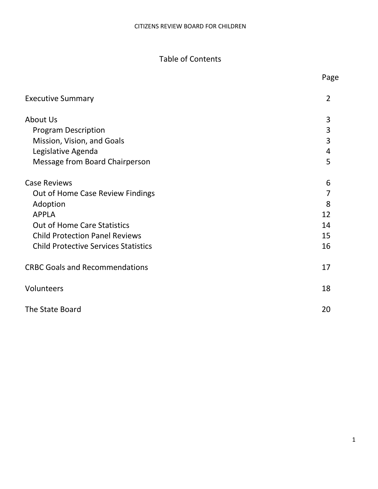# Table of Contents

|                                             | Page           |
|---------------------------------------------|----------------|
| <b>Executive Summary</b>                    | $\overline{2}$ |
| About Us                                    | 3              |
| <b>Program Description</b>                  | 3              |
| Mission, Vision, and Goals                  | 3              |
| Legislative Agenda                          | $\overline{4}$ |
| Message from Board Chairperson              | 5              |
| <b>Case Reviews</b>                         | 6              |
| Out of Home Case Review Findings            | 7              |
| Adoption                                    | 8              |
| <b>APPLA</b>                                | 12             |
| <b>Out of Home Care Statistics</b>          | 14             |
| <b>Child Protection Panel Reviews</b>       | 15             |
| <b>Child Protective Services Statistics</b> | 16             |
| <b>CRBC Goals and Recommendations</b>       | 17             |
| Volunteers                                  | 18             |
| The State Board                             | 20             |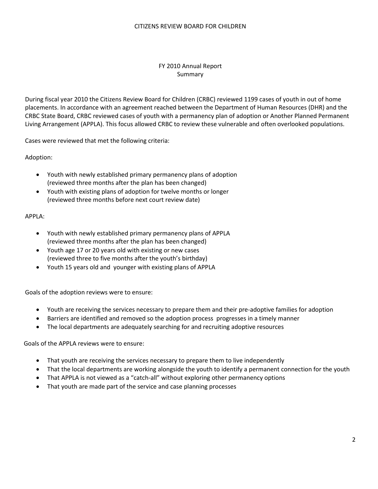#### FY 2010 Annual Report Summary

During fiscal year 2010 the Citizens Review Board for Children (CRBC) reviewed 1199 cases of youth in out of home placements. In accordance with an agreement reached between the Department of Human Resources (DHR) and the CRBC State Board, CRBC reviewed cases of youth with a permanency plan of adoption or Another Planned Permanent Living Arrangement (APPLA). This focus allowed CRBC to review these vulnerable and often overlooked populations.

Cases were reviewed that met the following criteria:

Adoption:

- Youth with newly established primary permanency plans of adoption (reviewed three months after the plan has been changed)
- Youth with existing plans of adoption for twelve months or longer (reviewed three months before next court review date)

#### APPLA:

- Youth with newly established primary permanency plans of APPLA (reviewed three months after the plan has been changed)
- Youth age 17 or 20 years old with existing or new cases (reviewed three to five months after the youth's birthday)
- Youth 15 years old and younger with existing plans of APPLA

Goals of the adoption reviews were to ensure:

- Youth are receiving the services necessary to prepare them and their pre-adoptive families for adoption
- Barriers are identified and removed so the adoption process progresses in a timely manner
- The local departments are adequately searching for and recruiting adoptive resources

Goals of the APPLA reviews were to ensure:

- That youth are receiving the services necessary to prepare them to live independently
- That the local departments are working alongside the youth to identify a permanent connection for the youth
- That APPLA is not viewed as a "catch-all" without exploring other permanency options
- That youth are made part of the service and case planning processes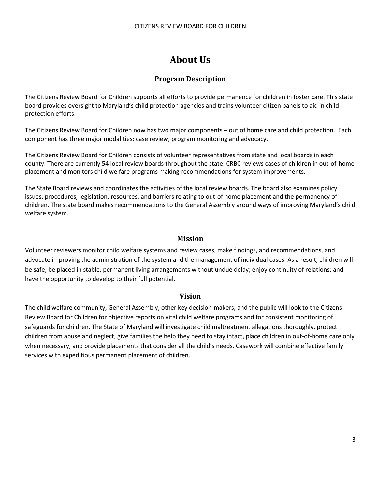# **About Us**

# **Program Description**

The Citizens Review Board for Children supports all efforts to provide permanence for children in foster care. This state board provides oversight to Maryland's child protection agencies and trains volunteer citizen panels to aid in child protection efforts.

The Citizens Review Board for Children now has two major components – out of home care and child protection. Each component has three major modalities: case review, program monitoring and advocacy.

The Citizens Review Board for Children consists of volunteer representatives from state and local boards in each county. There are currently 54 local review boards throughout the state. CRBC reviews cases of children in out-of-home placement and monitors child welfare programs making recommendations for system improvements.

The State Board reviews and coordinates the activities of the local review boards. The board also examines policy issues, procedures, legislation, resources, and barriers relating to out-of home placement and the permanency of children. The state board makes recommendations to the General Assembly around ways of improving Maryland's child welfare system.

#### **Mission**

Volunteer reviewers monitor child welfare systems and review cases, make findings, and recommendations, and advocate improving the administration of the system and the management of individual cases. As a result, children will be safe; be placed in stable, permanent living arrangements without undue delay; enjoy continuity of relations; and have the opportunity to develop to their full potential.

#### **Vision**

The child welfare community, General Assembly, other key decision-makers, and the public will look to the Citizens Review Board for Children for objective reports on vital child welfare programs and for consistent monitoring of safeguards for children. The State of Maryland will investigate child maltreatment allegations thoroughly, protect children from abuse and neglect, give families the help they need to stay intact, place children in out-of-home care only when necessary, and provide placements that consider all the child's needs. Casework will combine effective family services with expeditious permanent placement of children.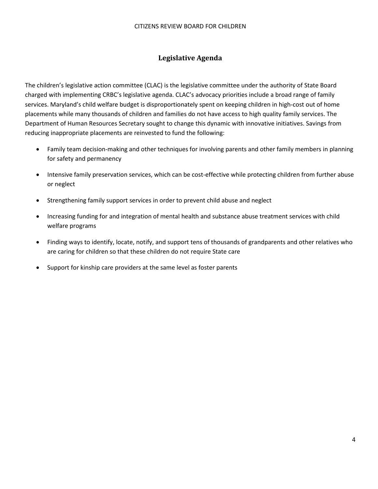#### CITIZENS REVIEW BOARD FOR CHILDREN

# **Legislative Agenda**

The children's legislative action committee (CLAC) is the legislative committee under the authority of State Board charged with implementing CRBC's legislative agenda. CLAC's advocacy priorities include a broad range of family services. Maryland's child welfare budget is disproportionately spent on keeping children in high-cost out of home placements while many thousands of children and families do not have access to high quality family services. The Department of Human Resources Secretary sought to change this dynamic with innovative initiatives. Savings from reducing inappropriate placements are reinvested to fund the following:

- Family team decision-making and other techniques for involving parents and other family members in planning for safety and permanency
- Intensive family preservation services, which can be cost-effective while protecting children from further abuse or neglect
- Strengthening family support services in order to prevent child abuse and neglect
- Increasing funding for and integration of mental health and substance abuse treatment services with child welfare programs
- Finding ways to identify, locate, notify, and support tens of thousands of grandparents and other relatives who are caring for children so that these children do not require State care
- Support for kinship care providers at the same level as foster parents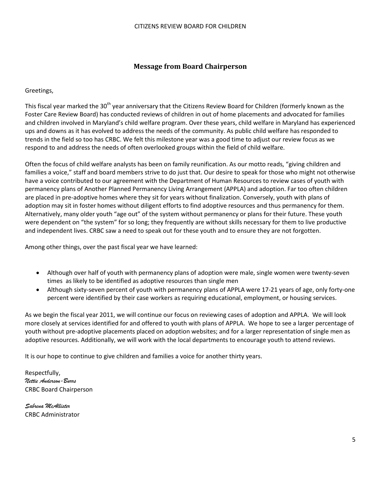## **Message from Board Chairperson**

Greetings,

This fiscal year marked the 30<sup>th</sup> year anniversary that the Citizens Review Board for Children (formerly known as the Foster Care Review Board) has conducted reviews of children in out of home placements and advocated for families and children involved in Maryland's child welfare program. Over these years, child welfare in Maryland has experienced ups and downs as it has evolved to address the needs of the community. As public child welfare has responded to trends in the field so too has CRBC. We felt this milestone year was a good time to adjust our review focus as we respond to and address the needs of often overlooked groups within the field of child welfare.

Often the focus of child welfare analysts has been on family reunification. As our motto reads, "giving children and families a voice," staff and board members strive to do just that. Our desire to speak for those who might not otherwise have a voice contributed to our agreement with the Department of Human Resources to review cases of youth with permanency plans of Another Planned Permanency Living Arrangement (APPLA) and adoption. Far too often children are placed in pre-adoptive homes where they sit for years without finalization. Conversely, youth with plans of adoption may sit in foster homes without diligent efforts to find adoptive resources and thus permanency for them. Alternatively, many older youth "age out" of the system without permanency or plans for their future. These youth were dependent on "the system" for so long; they frequently are without skills necessary for them to live productive and independent lives. CRBC saw a need to speak out for these youth and to ensure they are not forgotten.

Among other things, over the past fiscal year we have learned:

- Although over half of youth with permanency plans of adoption were male, single women were twenty-seven times as likely to be identified as adoptive resources than single men
- Although sixty-seven percent of youth with permanency plans of APPLA were 17-21 years of age, only forty-one percent were identified by their case workers as requiring educational, employment, or housing services.

As we begin the fiscal year 2011, we will continue our focus on reviewing cases of adoption and APPLA. We will look more closely at services identified for and offered to youth with plans of APPLA. We hope to see a larger percentage of youth without pre-adoptive placements placed on adoption websites; and for a larger representation of single men as adoptive resources. Additionally, we will work with the local departments to encourage youth to attend reviews.

It is our hope to continue to give children and families a voice for another thirty years.

Respectfully, *Nettie Anderson-Burrs*  CRBC Board Chairperson

*Sabrena McAllister*  CRBC Administrator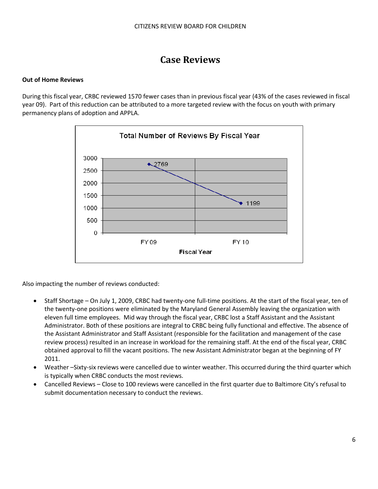# **Case Reviews**

#### **Out of Home Reviews**

During this fiscal year, CRBC reviewed 1570 fewer cases than in previous fiscal year (43% of the cases reviewed in fiscal year 09). Part of this reduction can be attributed to a more targeted review with the focus on youth with primary permanency plans of adoption and APPLA.



Also impacting the number of reviews conducted:

- Staff Shortage On July 1, 2009, CRBC had twenty-one full-time positions. At the start of the fiscal year, ten of the twenty-one positions were eliminated by the Maryland General Assembly leaving the organization with eleven full time employees. Mid way through the fiscal year, CRBC lost a Staff Assistant and the Assistant Administrator. Both of these positions are integral to CRBC being fully functional and effective. The absence of the Assistant Administrator and Staff Assistant (responsible for the facilitation and management of the case review process) resulted in an increase in workload for the remaining staff. At the end of the fiscal year, CRBC obtained approval to fill the vacant positions. The new Assistant Administrator began at the beginning of FY 2011.
- Weather –Sixty-six reviews were cancelled due to winter weather. This occurred during the third quarter which is typically when CRBC conducts the most reviews.
- Cancelled Reviews Close to 100 reviews were cancelled in the first quarter due to Baltimore City's refusal to submit documentation necessary to conduct the reviews.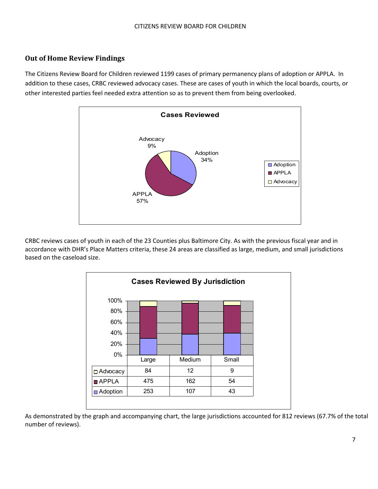# **Out of Home Review Findings**

The Citizens Review Board for Children reviewed 1199 cases of primary permanency plans of adoption or APPLA. In addition to these cases, CRBC reviewed advocacy cases. These are cases of youth in which the local boards, courts, or other interested parties feel needed extra attention so as to prevent them from being overlooked.



CRBC reviews cases of youth in each of the 23 Counties plus Baltimore City. As with the previous fiscal year and in accordance with DHR's Place Matters criteria, these 24 areas are classified as large, medium, and small jurisdictions based on the caseload size.



As demonstrated by the graph and accompanying chart, the large jurisdictions accounted for 812 reviews (67.7% of the total number of reviews).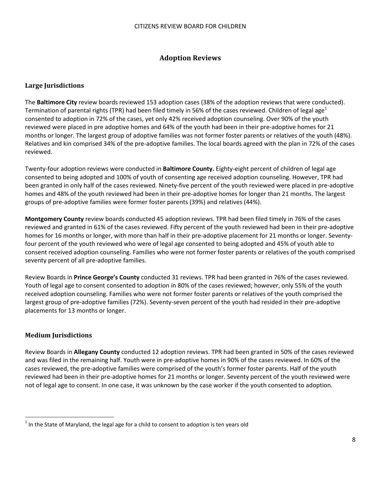## **Adoption Reviews**

#### **Large Jurisdictions**

The **Baltimore City** review boards reviewed 153 adoption cases (38% of the adoption reviews that were conducted). Termination of parental rights (TPR) had been filed timely in 56% of the cases reviewed. Children of legal age<sup>1</sup> consented to adoption in 72% of the cases, yet only 42% received adoption counseling. Over 90% of the youth reviewed were placed in pre adoptive homes and 64% of the youth had been in their pre-adoptive homes for 21 months or longer. The largest group of adoptive families was not former foster parents or relatives of the youth (48%). Relatives and kin comprised 34% of the pre-adoptive families. The local boards agreed with the plan in 72% of the cases reviewed.

Twenty-four adoption reviews were conducted in **Baltimore County.** Eighty-eight percent of children of legal age consented to being adopted and 100% of youth of consenting age received adoption counseling. However, TPR had been granted in only half of the cases reviewed. Ninety-five percent of the youth reviewed were placed in pre-adoptive homes and 48% of the youth reviewed had been in their pre-adoptive homes for longer than 21 months. The largest groups of pre-adoptive families were former foster parents (39%) and relatives (44%).

**Montgomery County** review boards conducted 45 adoption reviews. TPR had been filed timely in 76% of the cases reviewed and granted in 61% of the cases reviewed. Fifty percent of the youth reviewed had been in their pre-adoptive homes for 16 months or longer, with more than half in their pre-adoptive placement for 21 months or longer. Seventyfour percent of the youth reviewed who were of legal age consented to being adopted and 45% of youth able to consent received adoption counseling. Families who were not former foster parents or relatives of the youth comprised seventy percent of all pre-adoptive families.

Review Boards in **Prince George's County** conducted 31 reviews. TPR had been granted in 76% of the cases reviewed. Youth of legal age to consent consented to adoption in 80% of the cases reviewed; however, only 55% of the youth received adoption counseling. Families who were not former foster parents or relatives of the youth comprised the largest group of pre-adoptive families (72%). Seventy-seven percent of the youth had resided in their pre-adoptive placements for 13 months or longer.

#### **Medium Jurisdictions**

 $\overline{a}$ 

Review Boards in **Allegany County** conducted 12 adoption reviews. TPR had been granted in 50% of the cases reviewed and was filed in the remaining half. Youth were in pre-adoptive homes in 90% of the cases reviewed. In 60% of the cases reviewed, the pre-adoptive families were comprised of the youth's former foster parents. Half of the youth reviewed had been in their pre-adoptive homes for 21 months or longer. Seventy percent of the youth reviewed were not of legal age to consent. In one case, it was unknown by the case worker if the youth consented to adoption.

 $^1$  In the State of Maryland, the legal age for a child to consent to adoption is ten years old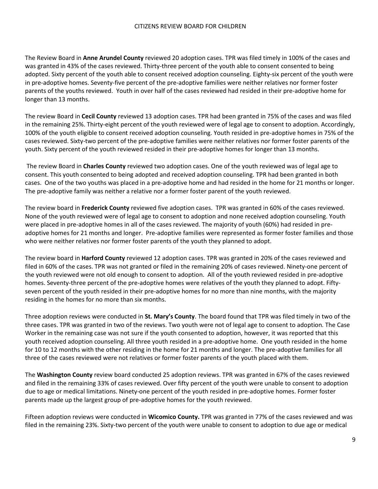The Review Board in **Anne Arundel County** reviewed 20 adoption cases. TPR was filed timely in 100% of the cases and was granted in 43% of the cases reviewed. Thirty-three percent of the youth able to consent consented to being adopted. Sixty percent of the youth able to consent received adoption counseling. Eighty-six percent of the youth were in pre-adoptive homes. Seventy-five percent of the pre-adoptive families were neither relatives nor former foster parents of the youths reviewed. Youth in over half of the cases reviewed had resided in their pre-adoptive home for longer than 13 months.

The review Board in **Cecil County** reviewed 13 adoption cases. TPR had been granted in 75% of the cases and was filed in the remaining 25%. Thirty-eight percent of the youth reviewed were of legal age to consent to adoption. Accordingly, 100% of the youth eligible to consent received adoption counseling. Youth resided in pre-adoptive homes in 75% of the cases reviewed. Sixty-two percent of the pre-adoptive families were neither relatives nor former foster parents of the youth. Sixty percent of the youth reviewed resided in their pre-adoptive homes for longer than 13 months.

 The review Board in **Charles County** reviewed two adoption cases. One of the youth reviewed was of legal age to consent. This youth consented to being adopted and received adoption counseling. TPR had been granted in both cases. One of the two youths was placed in a pre-adoptive home and had resided in the home for 21 months or longer. The pre-adoptive family was neither a relative nor a former foster parent of the youth reviewed.

The review board in **Frederick County** reviewed five adoption cases. TPR was granted in 60% of the cases reviewed. None of the youth reviewed were of legal age to consent to adoption and none received adoption counseling. Youth were placed in pre-adoptive homes in all of the cases reviewed. The majority of youth (60%) had resided in preadoptive homes for 21 months and longer. Pre-adoptive families were represented as former foster families and those who were neither relatives nor former foster parents of the youth they planned to adopt.

The review board in **Harford County** reviewed 12 adoption cases. TPR was granted in 20% of the cases reviewed and filed in 60% of the cases. TPR was not granted or filed in the remaining 20% of cases reviewed. Ninety-one percent of the youth reviewed were not old enough to consent to adoption. All of the youth reviewed resided in pre-adoptive homes. Seventy-three percent of the pre-adoptive homes were relatives of the youth they planned to adopt. Fiftyseven percent of the youth resided in their pre-adoptive homes for no more than nine months, with the majority residing in the homes for no more than six months.

Three adoption reviews were conducted in **St. Mary's County**. The board found that TPR was filed timely in two of the three cases. TPR was granted in two of the reviews. Two youth were not of legal age to consent to adoption. The Case Worker in the remaining case was not sure if the youth consented to adoption, however, it was reported that this youth received adoption counseling. All three youth resided in a pre-adoptive home. One youth resided in the home for 10 to 12 months with the other residing in the home for 21 months and longer. The pre-adoptive families for all three of the cases reviewed were not relatives or former foster parents of the youth placed with them.

The **Washington County** review board conducted 25 adoption reviews. TPR was granted in 67% of the cases reviewed and filed in the remaining 33% of cases reviewed. Over fifty percent of the youth were unable to consent to adoption due to age or medical limitations. Ninety-one percent of the youth resided in pre-adoptive homes. Former foster parents made up the largest group of pre-adoptive homes for the youth reviewed.

Fifteen adoption reviews were conducted in **Wicomico County.** TPR was granted in 77% of the cases reviewed and was filed in the remaining 23%. Sixty-two percent of the youth were unable to consent to adoption to due age or medical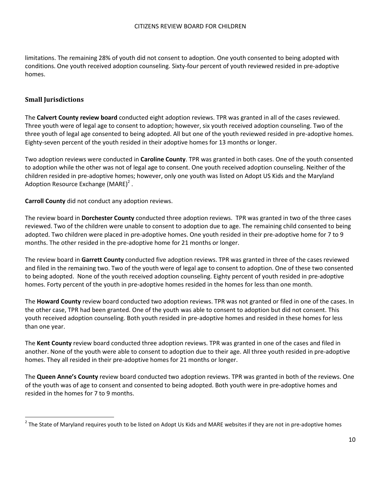limitations. The remaining 28% of youth did not consent to adoption. One youth consented to being adopted with conditions. One youth received adoption counseling. Sixty-four percent of youth reviewed resided in pre-adoptive homes.

#### **Small Jurisdictions**

 $\overline{a}$ 

The **Calvert County review board** conducted eight adoption reviews. TPR was granted in all of the cases reviewed. Three youth were of legal age to consent to adoption; however, six youth received adoption counseling. Two of the three youth of legal age consented to being adopted. All but one of the youth reviewed resided in pre-adoptive homes. Eighty-seven percent of the youth resided in their adoptive homes for 13 months or longer.

Two adoption reviews were conducted in **Caroline County**. TPR was granted in both cases. One of the youth consented to adoption while the other was not of legal age to consent. One youth received adoption counseling. Neither of the children resided in pre-adoptive homes; however, only one youth was listed on Adopt US Kids and the Maryland Adoption Resource Exchange (MARE)<sup>2</sup>.

**Carroll County** did not conduct any adoption reviews.

The review board in **Dorchester County** conducted three adoption reviews. TPR was granted in two of the three cases reviewed. Two of the children were unable to consent to adoption due to age. The remaining child consented to being adopted. Two children were placed in pre-adoptive homes. One youth resided in their pre-adoptive home for 7 to 9 months. The other resided in the pre-adoptive home for 21 months or longer.

The review board in **Garrett County** conducted five adoption reviews. TPR was granted in three of the cases reviewed and filed in the remaining two. Two of the youth were of legal age to consent to adoption. One of these two consented to being adopted. None of the youth received adoption counseling. Eighty percent of youth resided in pre-adoptive homes. Forty percent of the youth in pre-adoptive homes resided in the homes for less than one month.

The **Howard County** review board conducted two adoption reviews. TPR was not granted or filed in one of the cases. In the other case, TPR had been granted. One of the youth was able to consent to adoption but did not consent. This youth received adoption counseling. Both youth resided in pre-adoptive homes and resided in these homes for less than one year.

The **Kent County** review board conducted three adoption reviews. TPR was granted in one of the cases and filed in another. None of the youth were able to consent to adoption due to their age. All three youth resided in pre-adoptive homes. They all resided in their pre-adoptive homes for 21 months or longer.

The **Queen Anne's County** review board conducted two adoption reviews. TPR was granted in both of the reviews. One of the youth was of age to consent and consented to being adopted. Both youth were in pre-adoptive homes and resided in the homes for 7 to 9 months.

 $^2$  The State of Maryland requires youth to be listed on Adopt Us Kids and MARE websites if they are not in pre-adoptive homes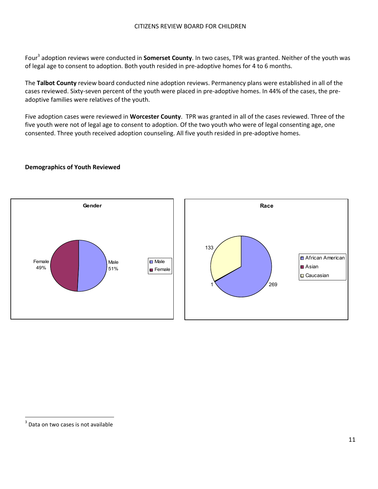Four<sup>3</sup> adoption reviews were conducted in **Somerset County**. In two cases, TPR was granted. Neither of the youth was of legal age to consent to adoption. Both youth resided in pre-adoptive homes for 4 to 6 months.

The **Talbot County** review board conducted nine adoption reviews. Permanency plans were established in all of the cases reviewed. Sixty-seven percent of the youth were placed in pre-adoptive homes. In 44% of the cases, the preadoptive families were relatives of the youth.

Five adoption cases were reviewed in **Worcester County**. TPR was granted in all of the cases reviewed. Three of the five youth were not of legal age to consent to adoption. Of the two youth who were of legal consenting age, one consented. Three youth received adoption counseling. All five youth resided in pre-adoptive homes.

#### **Demographics of Youth Reviewed**



 $\overline{a}$ 

 $3$  Data on two cases is not available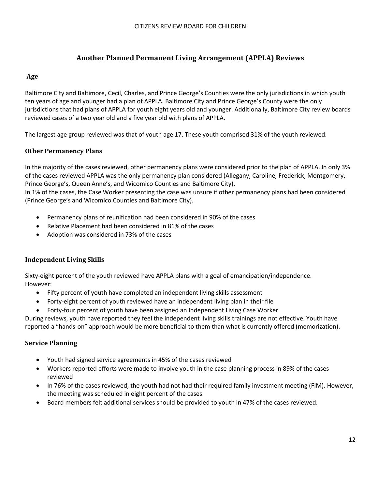# **Another Planned Permanent Living Arrangement (APPLA) Reviews**

# **Age**

Baltimore City and Baltimore, Cecil, Charles, and Prince George's Counties were the only jurisdictions in which youth ten years of age and younger had a plan of APPLA. Baltimore City and Prince George's County were the only jurisdictions that had plans of APPLA for youth eight years old and younger. Additionally, Baltimore City review boards reviewed cases of a two year old and a five year old with plans of APPLA.

The largest age group reviewed was that of youth age 17. These youth comprised 31% of the youth reviewed.

## **Other Permanency Plans**

In the majority of the cases reviewed, other permanency plans were considered prior to the plan of APPLA. In only 3% of the cases reviewed APPLA was the only permanency plan considered (Allegany, Caroline, Frederick, Montgomery, Prince George's, Queen Anne's, and Wicomico Counties and Baltimore City).

In 1% of the cases, the Case Worker presenting the case was unsure if other permanency plans had been considered (Prince George's and Wicomico Counties and Baltimore City).

- Permanency plans of reunification had been considered in 90% of the cases
- Relative Placement had been considered in 81% of the cases
- Adoption was considered in 73% of the cases

#### **Independent Living Skills**

Sixty-eight percent of the youth reviewed have APPLA plans with a goal of emancipation/independence. However:

- Fifty percent of youth have completed an independent living skills assessment
- Forty-eight percent of youth reviewed have an independent living plan in their file
- Forty-four percent of youth have been assigned an Independent Living Case Worker

During reviews, youth have reported they feel the independent living skills trainings are not effective. Youth have reported a "hands-on" approach would be more beneficial to them than what is currently offered (memorization).

#### **Service Planning**

- Youth had signed service agreements in 45% of the cases reviewed
- Workers reported efforts were made to involve youth in the case planning process in 89% of the cases reviewed
- In 76% of the cases reviewed, the youth had not had their required family investment meeting (FIM). However, the meeting was scheduled in eight percent of the cases.
- Board members felt additional services should be provided to youth in 47% of the cases reviewed.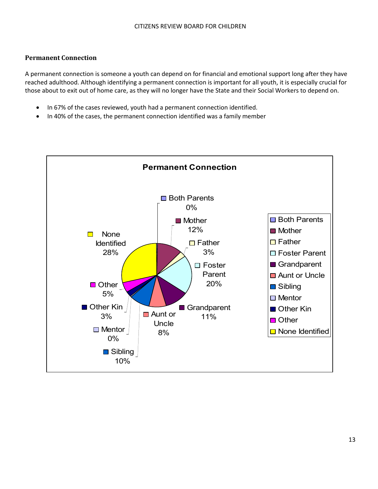#### **Permanent Connection**

A permanent connection is someone a youth can depend on for financial and emotional support long after they have reached adulthood. Although identifying a permanent connection is important for all youth, it is especially crucial for those about to exit out of home care, as they will no longer have the State and their Social Workers to depend on.

- In 67% of the cases reviewed, youth had a permanent connection identified.
- In 40% of the cases, the permanent connection identified was a family member

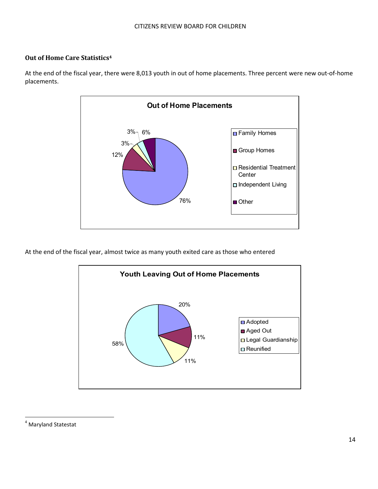## **Out of Home Care Statistics<sup>4</sup>**



At the end of the fiscal year, there were 8,013 youth in out of home placements. Three percent were new out-of-home placements.

At the end of the fiscal year, almost twice as many youth exited care as those who entered



4 Maryland Statestat

 $\overline{a}$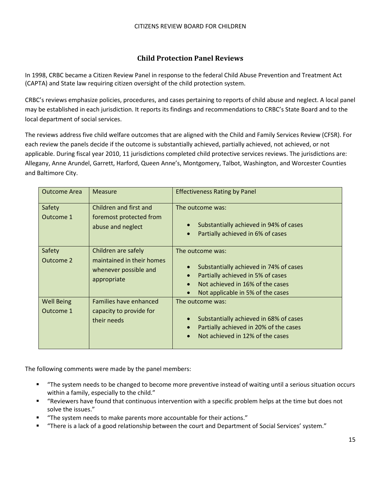# **Child Protection Panel Reviews**

In 1998, CRBC became a Citizen Review Panel in response to the federal Child Abuse Prevention and Treatment Act (CAPTA) and State law requiring citizen oversight of the child protection system.

CRBC's reviews emphasize policies, procedures, and cases pertaining to reports of child abuse and neglect. A local panel may be established in each jurisdiction. It reports its findings and recommendations to CRBC's State Board and to the local department of social services.

The reviews address five child welfare outcomes that are aligned with the Child and Family Services Review (CFSR). For each review the panels decide if the outcome is substantially achieved, partially achieved, not achieved, or not applicable. During fiscal year 2010, 11 jurisdictions completed child protective services reviews. The jurisdictions are: Allegany, Anne Arundel, Garrett, Harford, Queen Anne's, Montgomery, Talbot, Washington, and Worcester Counties and Baltimore City.

| <b>Outcome Area</b>            | <b>Measure</b>                                                                           | <b>Effectiveness Rating by Panel</b>                                                                                                                                     |
|--------------------------------|------------------------------------------------------------------------------------------|--------------------------------------------------------------------------------------------------------------------------------------------------------------------------|
| Safety<br>Outcome 1            | Children and first and<br>foremost protected from<br>abuse and neglect                   | The outcome was:<br>Substantially achieved in 94% of cases<br>Partially achieved in 6% of cases<br>$\bullet$                                                             |
| Safety<br>Outcome 2            | Children are safely<br>maintained in their homes<br>whenever possible and<br>appropriate | The outcome was:<br>Substantially achieved in 74% of cases<br>Partially achieved in 5% of cases<br>Not achieved in 16% of the cases<br>Not applicable in 5% of the cases |
| <b>Well Being</b><br>Outcome 1 | Families have enhanced<br>capacity to provide for<br>their needs                         | The outcome was:<br>Substantially achieved in 68% of cases<br>Partially achieved in 20% of the cases<br>Not achieved in 12% of the cases                                 |

The following comments were made by the panel members:

- § "The system needs to be changed to become more preventive instead of waiting until a serious situation occurs within a family, especially to the child."
- § "Reviewers have found that continuous intervention with a specific problem helps at the time but does not solve the issues."
- § "The system needs to make parents more accountable for their actions."
- § "There is a lack of a good relationship between the court and Department of Social Services' system."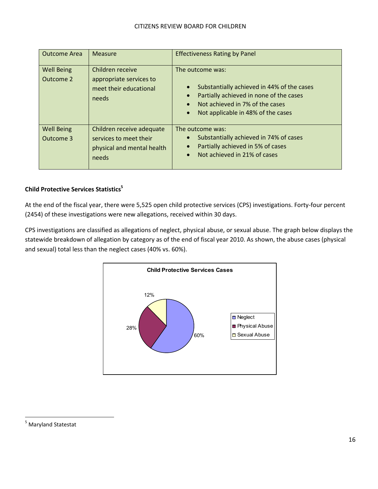| <b>Outcome Area</b>            | Measure                                                                                    | <b>Effectiveness Rating by Panel</b>                                                                                                                                                                         |
|--------------------------------|--------------------------------------------------------------------------------------------|--------------------------------------------------------------------------------------------------------------------------------------------------------------------------------------------------------------|
| <b>Well Being</b><br>Outcome 2 | Children receive<br>appropriate services to<br>meet their educational<br>needs             | The outcome was:<br>Substantially achieved in 44% of the cases<br>$\bullet$<br>Partially achieved in none of the cases<br>Not achieved in 7% of the cases<br>Not applicable in 48% of the cases<br>$\bullet$ |
| <b>Well Being</b><br>Outcome 3 | Children receive adequate<br>services to meet their<br>physical and mental health<br>needs | The outcome was:<br>Substantially achieved in 74% of cases<br>Partially achieved in 5% of cases<br>Not achieved in 21% of cases                                                                              |

## **Child Protective Services Statistics<sup>5</sup>**

At the end of the fiscal year, there were 5,525 open child protective services (CPS) investigations. Forty-four percent (2454) of these investigations were new allegations, received within 30 days.

CPS investigations are classified as allegations of neglect, physical abuse, or sexual abuse. The graph below displays the statewide breakdown of allegation by category as of the end of fiscal year 2010. As shown, the abuse cases (physical and sexual) total less than the neglect cases (40% vs. 60%).



 $\overline{a}$ 

<sup>&</sup>lt;sup>5</sup> Maryland Statestat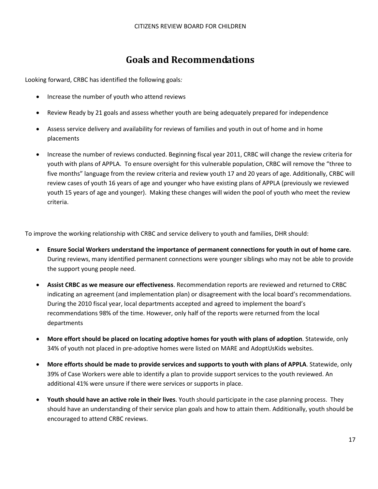# **Goals and Recommendations**

Looking forward, CRBC has identified the following goals*:* 

- Increase the number of youth who attend reviews
- Review Ready by 21 goals and assess whether youth are being adequately prepared for independence
- Assess service delivery and availability for reviews of families and youth in out of home and in home placements
- Increase the number of reviews conducted. Beginning fiscal year 2011, CRBC will change the review criteria for youth with plans of APPLA. To ensure oversight for this vulnerable population, CRBC will remove the "three to five months" language from the review criteria and review youth 17 and 20 years of age. Additionally, CRBC will review cases of youth 16 years of age and younger who have existing plans of APPLA (previously we reviewed youth 15 years of age and younger). Making these changes will widen the pool of youth who meet the review criteria.

To improve the working relationship with CRBC and service delivery to youth and families, DHR should:

- **Ensure Social Workers understand the importance of permanent connections for youth in out of home care.** During reviews, many identified permanent connections were younger siblings who may not be able to provide the support young people need.
- **Assist CRBC as we measure our effectiveness**. Recommendation reports are reviewed and returned to CRBC indicating an agreement (and implementation plan) or disagreement with the local board's recommendations. During the 2010 fiscal year, local departments accepted and agreed to implement the board's recommendations 98% of the time. However, only half of the reports were returned from the local departments
- **More effort should be placed on locating adoptive homes for youth with plans of adoption**. Statewide, only 34% of youth not placed in pre-adoptive homes were listed on MARE and AdoptUsKids websites.
- **More efforts should be made to provide services and supports to youth with plans of APPLA**. Statewide, only 39% of Case Workers were able to identify a plan to provide support services to the youth reviewed. An additional 41% were unsure if there were services or supports in place.
- **Youth should have an active role in their lives**. Youth should participate in the case planning process. They should have an understanding of their service plan goals and how to attain them. Additionally, youth should be encouraged to attend CRBC reviews.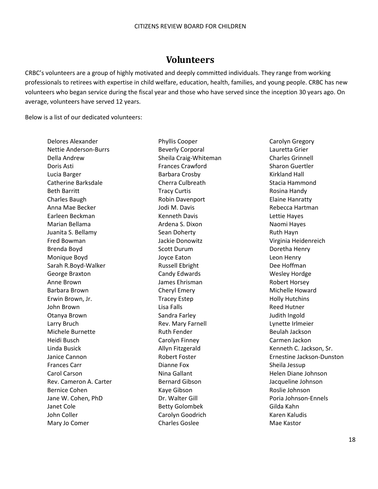# **Volunteers**

CRBC's volunteers are a group of highly motivated and deeply committed individuals. They range from working professionals to retirees with expertise in child welfare, education, health, families, and young people. CRBC has new volunteers who began service during the fiscal year and those who have served since the inception 30 years ago. On average, volunteers have served 12 years.

Below is a list of our dedicated volunteers:

Delores Alexander Phyllis Cooper Carolyn Gregory Nettie Anderson-Burrs **Beverly Corporal** Lauretta Grier Della Andrew Sheila Craig-Whiteman Charles Grinnell Doris Asti Frances Crawford Sharon Guertler Lucia Barger **Barbara Crosby** Barbara Crosby **Kirkland Hall** Catherine Barksdale Cherra Culbreath Stacia Hammond Beth Barritt **Tracy Curtis** Curtis **Rosina Handy** Rosina Handy Charles Baugh **Robin Davenport Robin Davenport** Elaine Hanratty Anna Mae Becker Jodi M. Davis Rebecca Hartman Earleen Beckman Kenneth Davis Lettie Hayes Marian Bellama **Ardena S. Dixon** Ardena S. Dixon Juanita S. Bellamy Sean Doherty **Sean Doherty** Sean Poherty Ruth Hayn Fred Bowman Jackie Donowitz Virginia Heidenreich Brenda Boyd **Scott Durum** Scott Durum **Brenda Henry** Brenda Henry Monique Boyd **Confluence Confluence Eaton** Joyce Eaton **Leon Henry** Leon Henry Sarah R.Boyd-Walker **Russell Ebright** Communist Dee Hoffman George Braxton **Candy Edwards** Candy Edwards Wesley Hordge Anne Brown **Communist Communist Communist Communist Communist Communist Communist Communist Communist Communist Communist Communist Communist Communist Communist Communist Communist Communist Communist Communist Communist** Barbara Brown **Cheryl Emery Cheryl Emery** Michelle Howard Erwin Brown, Jr. Tracey Estep Fracey Estep Holly Hutchins John Brown Lisa Falls Reed Hutner Otanya Brown **Sandra Farley Community** Sandra Farley **Sandra Farley** Superintendent Superintendent Superintendent Superintendent Superintendent Superintendent Superintendent Superintendent Superintendent Superintendent Sup Larry Bruch Rev. Mary Farnell Lynette Irlmeier Michele Burnette **Ruth Fender** Ruth Fender **Beulah Jackson** Heidi Busch Carolyn Finney Carmen Jackon Linda Busick **Allyn Fitzgerald** Allyn Fitzgerald Kenneth C. Jackson, Sr. Frances Carr Dianne Fox Sheila Jessup Carol Carson **Nina Gallant** Nina Gallant Helen Diane Johnson Rev. Cameron A. Carter **Bernard Gibson** Bernard Gibson Jacqueline Johnson Bernice Cohen **Kaye Gibson** Roslie Johnson Roslie Johnson Jane W. Cohen, PhD **Dr. Walter Gill Portal Poria Johnson-Ennels** Janet Cole **Betty Golombek** Gilda Kahn John Coller Carolyn Goodrich Carolyn Goodrich Collect Carolyn Goodrich Collect Carolyn Carolyn Carolyn Carolyn Karen Kaludis Mary Jo Comer **Charles Goslee** Mae Kastor Charles Goslee

Janice Cannon **Ernestine Jackson-Dunston** Robert Foster **Example 2018** Ernestine Jackson-Dunston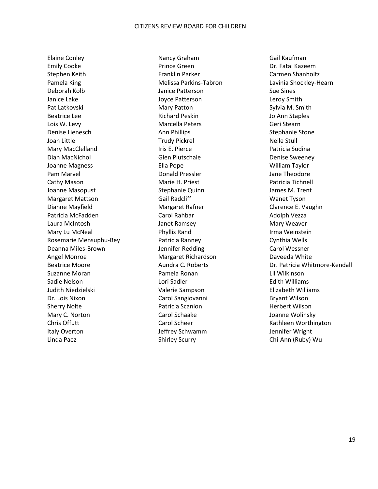Emily Cooke Prince Green Dr. Fatai Kazeem Stephen Keith Franklin Parker Carmen Shanholtz Pamela King The Melissa Parkins-Tabron The Lavinia Shockley-Hearn Lawinia Shockley-Hearn Deborah Kolb Janice Patterson Sue Sines Janice Lake **Joyce Patterson Leroy Smith** Pat Latkovski Mary Patton Sylvia M. Smith Beatrice Lee **Richard Peskin** Beatrice Lee **Jo Ann Staples** Lois W. Levy Marcella Peters Geri Stearn Denise Lienesch **Ann Phillips** Channel Ann Phillips Stephanie Stone Joan Little **Trudy Pickrel Accompany** Communication Nelle Stull Mary MacClelland **Iris E. Pierce Iris E. Pierce** Patricia Sudina Dian MacNichol Glen Plutschale Denise Sweeney Joanne Magness Ella Pope William Taylor Pam Marvel **Donald Pressler** American Marvel Donald Pressler American Checker Assessment Donald Pressler Cathy Mason **Marie H. Priest** Patricia Tichnell **Cathy Mason** Patricia Tichnell Joanne Masopust **Stephanie Quinn** James M. Trent Margaret Mattson **Mattson** Gail Radcliff Wanet Tyson Dianne Mayfield **Margaret Rafner** Margaret Rafner Clarence E. Vaughn Patricia McFadden **Carol Rahbar** Carol Rahbar Adolph Vezza Laura McIntosh **Mary Weaver** Janet Ramsey **Mary Weaver** Mary Weaver Mary Lu McNeal **Irma Weinstein** Phyllis Rand Irma Weinstein Rosemarie Mensuphu-Bey **Ranney** Patricia Ranney **Cynthia Wells** Deanna Miles-Brown Jennifer Redding Carol Wessner Angel Monroe **Margaret Richardson** Daveeda White Suzanne Moran Pamela Ronan Lil Wilkinson Sadie Nelson **Edith Williams** Lori Sadler **Communist Communist Communist Communist Communist Communist Communist Communist Communist Communist Communist Communist Communist Communist Communist Communist Communist Communist** Judith Niedzielski Valerie Sampson Elizabeth Williams Dr. Lois Nixon **Carol Sangiovanni** Bryant Wilson Sherry Nolte **Patricia Scanlon** Patricia Scanlon **Herbert Wilson** Mary C. Norton **Carol Schaake** Carol Schaake Joanne Wolinsky Chris Offutt **Carol Scheer** Carol Scheer Kathleen Worthington Italy Overton The Superson Superson Jeffrey Schwamm and Jennifer Wright

Elaine Conley **Nancy Graham** Gail Kaufman Gail Kaufman Linda Paez Shirley Scurry Chi-Ann (Ruby) Wu

Beatrice Moore **Aundra C. Roberts** Dr. Patricia Whitmore-Kendall